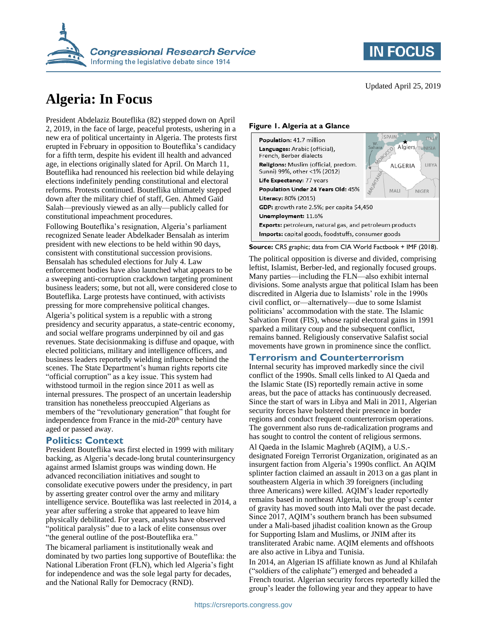

## **Algeria: In Focus**

President Abdelaziz Bouteflika (82) stepped down on April 2, 2019, in the face of large, peaceful protests, ushering in a new era of political uncertainty in Algeria. The protests first erupted in February in opposition to Bouteflika's candidacy for a fifth term, despite his evident ill health and advanced age, in elections originally slated for April. On March 11, Bouteflika had renounced his reelection bid while delaying elections indefinitely pending constitutional and electoral reforms. Protests continued. Bouteflika ultimately stepped down after the military chief of staff, Gen. Ahmed Gaïd Salah—previously viewed as an ally—publicly called for constitutional impeachment procedures.

Following Bouteflika's resignation, Algeria's parliament recognized Senate leader Abdelkader Bensalah as interim president with new elections to be held within 90 days, consistent with constitutional succession provisions. Bensalah has scheduled elections for July 4. Law enforcement bodies have also launched what appears to be a sweeping anti-corruption crackdown targeting prominent business leaders; some, but not all, were considered close to Bouteflika. Large protests have continued, with activists pressing for more comprehensive political changes. Algeria's political system is a republic with a strong presidency and security apparatus, a state-centric economy, and social welfare programs underpinned by oil and gas revenues. State decisionmaking is diffuse and opaque, with elected politicians, military and intelligence officers, and business leaders reportedly wielding influence behind the scenes. The State Department's human rights reports cite "official corruption" as a key issue. This system had withstood turmoil in the region since 2011 as well as internal pressures. The prospect of an uncertain leadership transition has nonetheless preoccupied Algerians as members of the "revolutionary generation" that fought for independence from France in the mid- $20<sup>th</sup>$  century have aged or passed away.

#### **Politics: Context**

President Bouteflika was first elected in 1999 with military backing, as Algeria's decade-long brutal counterinsurgency against armed Islamist groups was winding down. He advanced reconciliation initiatives and sought to consolidate executive powers under the presidency, in part by asserting greater control over the army and military intelligence service. Bouteflika was last reelected in 2014, a year after suffering a stroke that appeared to leave him physically debilitated. For years, analysts have observed "political paralysis" due to a lack of elite consensus over "the general outline of the post-Bouteflika era."

The bicameral parliament is institutionally weak and dominated by two parties long supportive of Bouteflika: the National Liberation Front (FLN), which led Algeria's fight for independence and was the sole legal party for decades, and the National Rally for Democracy (RND).

# **IN FOCUS**

#### **Figure 1. Algeria at a Glance**

| <b>Population: 41.7 million</b>                                      | SPAIN<br>W.                         |
|----------------------------------------------------------------------|-------------------------------------|
| Languages: Arabic (official),<br>French, Berber dialects             | Algiers                             |
| Religions: Muslim (official, predom.<br>Sunni) 99%, other <1% (2012) | ALGERIA<br>LIBYA                    |
| Life Expectancy: 77 years                                            |                                     |
| Population Under 24 Years Old: 45%                                   | <b>AURI</b><br>MALI<br><b>NIGER</b> |
| Literacy: 80% (2015)                                                 |                                     |
| GDP: growth rate 2.5%; per capita \$4,450                            |                                     |
| Unemployment: 11.6%                                                  |                                     |
| <b>Exports:</b> petroleum, natural gas, and petroleum products       |                                     |
| Imports: capital goods, foodstuffs, consumer goods                   |                                     |

**Source:** CRS graphic; data from CIA World Factbook + IMF (2018).

The political opposition is diverse and divided, comprising leftist, Islamist, Berber-led, and regionally focused groups. Many parties—including the FLN—also exhibit internal divisions. Some analysts argue that political Islam has been discredited in Algeria due to Islamists' role in the 1990s civil conflict, or—alternatively—due to some Islamist politicians' accommodation with the state. The Islamic Salvation Front (FIS), whose rapid electoral gains in 1991 sparked a military coup and the subsequent conflict, remains banned. Religiously conservative Salafist social movements have grown in prominence since the conflict.

#### **Terrorism and Counterterrorism**

Internal security has improved markedly since the civil conflict of the 1990s. Small cells linked to Al Qaeda and the Islamic State (IS) reportedly remain active in some areas, but the pace of attacks has continuously decreased. Since the start of wars in Libya and Mali in 2011, Algerian security forces have bolstered their presence in border regions and conduct frequent counterterrorism operations. The government also runs de-radicalization programs and has sought to control the content of religious sermons. Al Qaeda in the Islamic Maghreb (AQIM), a U.S. designated Foreign Terrorist Organization, originated as an insurgent faction from Algeria's 1990s conflict. An AQIM splinter faction claimed an assault in 2013 on a gas plant in southeastern Algeria in which 39 foreigners (including three Americans) were killed. AQIM's leader reportedly remains based in northeast Algeria, but the group's center of gravity has moved south into Mali over the past decade. Since 2017, AQIM's southern branch has been subsumed under a Mali-based jihadist coalition known as the Group for Supporting Islam and Muslims, or JNIM after its transliterated Arabic name. AQIM elements and offshoots are also active in Libya and Tunisia.

In 2014, an Algerian IS affiliate known as Jund al Khilafah ("soldiers of the caliphate") emerged and beheaded a French tourist. Algerian security forces reportedly killed the group's leader the following year and they appear to have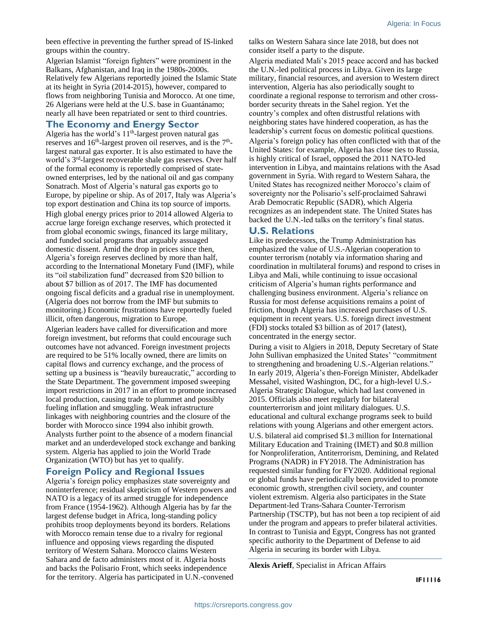been effective in preventing the further spread of IS-linked groups within the country.

Algerian Islamist "foreign fighters" were prominent in the Balkans, Afghanistan, and Iraq in the 1980s-2000s. Relatively few Algerians reportedly joined the Islamic State at its height in Syria (2014-2015), however, compared to flows from neighboring Tunisia and Morocco. At one time, 26 Algerians were held at the U.S. base in Guantánamo; nearly all have been repatriated or sent to third countries.

#### **The Economy and Energy Sector**

Algeria has the world's  $11<sup>th</sup>$ -largest proven natural gas reserves and  $16<sup>th</sup>$ -largest proven oil reserves, and is the  $7<sup>th</sup>$ largest natural gas exporter. It is also estimated to have the world's 3<sup>rd</sup>-largest recoverable shale gas reserves. Over half of the formal economy is reportedly comprised of stateowned enterprises, led by the national oil and gas company Sonatrach. Most of Algeria's natural gas exports go to Europe, by pipeline or ship. As of 2017, Italy was Algeria's top export destination and China its top source of imports. High global energy prices prior to 2014 allowed Algeria to accrue large foreign exchange reserves, which protected it from global economic swings, financed its large military, and funded social programs that arguably assuaged domestic dissent. Amid the drop in prices since then, Algeria's foreign reserves declined by more than half, according to the International Monetary Fund (IMF), while its "oil stabilization fund" decreased from \$20 billion to about \$7 billion as of 2017. The IMF has documented ongoing fiscal deficits and a gradual rise in unemployment. (Algeria does not borrow from the IMF but submits to monitoring.) Economic frustrations have reportedly fueled illicit, often dangerous, migration to Europe.

Algerian leaders have called for diversification and more foreign investment, but reforms that could encourage such outcomes have not advanced. Foreign investment projects are required to be 51% locally owned, there are limits on capital flows and currency exchange, and the process of setting up a business is "heavily bureaucratic," according to the State Department. The government imposed sweeping import restrictions in 2017 in an effort to promote increased local production, causing trade to plummet and possibly fueling inflation and smuggling. Weak infrastructure linkages with neighboring countries and the closure of the border with Morocco since 1994 also inhibit growth. Analysts further point to the absence of a modern financial market and an underdeveloped stock exchange and banking system. Algeria has applied to join the World Trade Organization (WTO) but has yet to qualify.

#### **Foreign Policy and Regional Issues**

Algeria's foreign policy emphasizes state sovereignty and noninterference; residual skepticism of Western powers and NATO is a legacy of its armed struggle for independence from France (1954-1962). Although Algeria has by far the largest defense budget in Africa, long-standing policy prohibits troop deployments beyond its borders. Relations with Morocco remain tense due to a rivalry for regional influence and opposing views regarding the disputed territory of Western Sahara. Morocco claims Western Sahara and de facto administers most of it. Algeria hosts and backs the Polisario Front, which seeks independence for the territory. Algeria has participated in U.N.-convened

talks on Western Sahara since late 2018, but does not consider itself a party to the dispute.

Algeria mediated Mali's 2015 peace accord and has backed the U.N.-led political process in Libya. Given its large military, financial resources, and aversion to Western direct intervention, Algeria has also periodically sought to coordinate a regional response to terrorism and other crossborder security threats in the Sahel region. Yet the country's complex and often distrustful relations with neighboring states have hindered cooperation, as has the leadership's current focus on domestic political questions. Algeria's foreign policy has often conflicted with that of the United States: for example, Algeria has close ties to Russia, is highly critical of Israel, opposed the 2011 NATO-led intervention in Libya, and maintains relations with the Asad government in Syria. With regard to Western Sahara, the United States has recognized neither Morocco's claim of sovereignty nor the Polisario's self-proclaimed Sahrawi Arab Democratic Republic (SADR), which Algeria recognizes as an independent state. The United States has backed the U.N.-led talks on the territory's final status.

#### **U.S. Relations**

Like its predecessors, the Trump Administration has emphasized the value of U.S.-Algerian cooperation to counter terrorism (notably via information sharing and coordination in multilateral forums) and respond to crises in Libya and Mali, while continuing to issue occasional criticism of Algeria's human rights performance and challenging business environment. Algeria's reliance on Russia for most defense acquisitions remains a point of friction, though Algeria has increased purchases of U.S. equipment in recent years. U.S. foreign direct investment (FDI) stocks totaled \$3 billion as of 2017 (latest), concentrated in the energy sector.

During a visit to Algiers in 2018, Deputy Secretary of State John Sullivan emphasized the United States' "commitment to strengthening and broadening U.S.-Algerian relations." In early 2019, Algeria's then-Foreign Minister, Abdelkader Messahel, visited Washington, DC, for a high-level U.S.- Algeria Strategic Dialogue, which had last convened in 2015. Officials also meet regularly for bilateral counterterrorism and joint military dialogues. U.S. educational and cultural exchange programs seek to build relations with young Algerians and other emergent actors. U.S. bilateral aid comprised \$1.3 million for International Military Education and Training (IMET) and \$0.8 million for Nonproliferation, Antiterrorism, Demining, and Related Programs (NADR) in FY2018. The Administration has requested similar funding for FY2020. Additional regional or global funds have periodically been provided to promote economic growth, strengthen civil society, and counter violent extremism. Algeria also participates in the State Department-led Trans-Sahara Counter-Terrorism Partnership (TSCTP), but has not been a top recipient of aid under the program and appears to prefer bilateral activities. In contrast to Tunisia and Egypt, Congress has not granted specific authority to the Department of Defense to aid Algeria in securing its border with Libya.

**Alexis Arieff**, Specialist in African Affairs